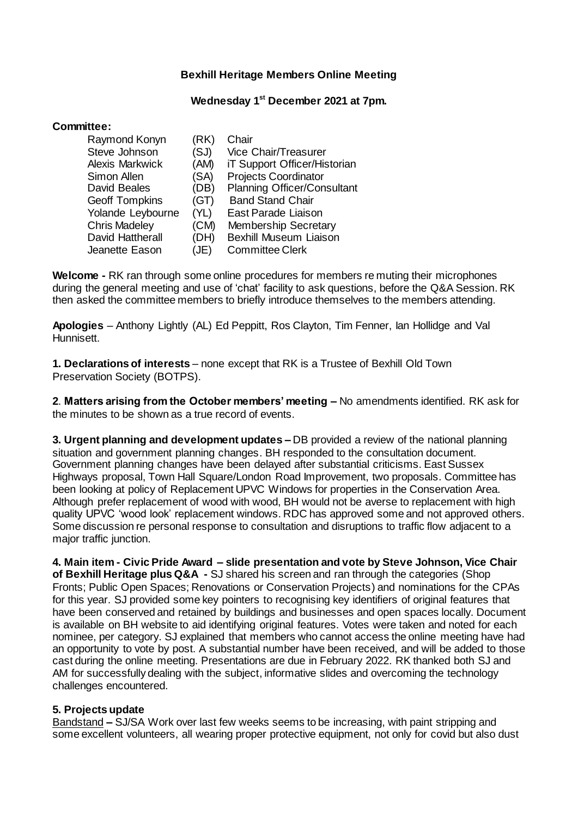## **Bexhill Heritage Members Online Meeting**

## **Wednesday 1 st December 2021 at 7pm.**

#### **Committee:**

| Raymond Konyn          | (RK) | Chair                              |
|------------------------|------|------------------------------------|
| Steve Johnson          | (SJ) | <b>Vice Chair/Treasurer</b>        |
| <b>Alexis Markwick</b> | (AM) | iT Support Officer/Historian       |
| Simon Allen            | (SA) | <b>Projects Coordinator</b>        |
| David Beales           | (DB) | <b>Planning Officer/Consultant</b> |
| <b>Geoff Tompkins</b>  | (GT) | <b>Band Stand Chair</b>            |
| Yolande Leybourne      | (YL) | East Parade Liaison                |
| <b>Chris Madeley</b>   | (CM) | <b>Membership Secretary</b>        |
| David Hattherall       | (DH) | <b>Bexhill Museum Liaison</b>      |
| Jeanette Eason         | (JE) | <b>Committee Clerk</b>             |

**Welcome -** RK ran through some online procedures for members re muting their microphones during the general meeting and use of 'chat' facility to ask questions, before the Q&A Session. RK then asked the committee members to briefly introduce themselves to the members attending.

**Apologies** – Anthony Lightly (AL) Ed Peppitt, Ros Clayton, Tim Fenner, Ian Hollidge and Val Hunnisett.

**1. Declarations of interests** – none except that RK is a Trustee of Bexhill Old Town Preservation Society (BOTPS).

**2**. **Matters arising from the October members' meeting –** No amendments identified. RK ask for the minutes to be shown as a true record of events.

**3. Urgent planning and development updates –** DB provided a review of the national planning situation and government planning changes. BH responded to the consultation document. Government planning changes have been delayed after substantial criticisms. East Sussex Highways proposal, Town Hall Square/London Road Improvement, two proposals. Committee has been looking at policy of Replacement UPVC Windows for properties in the Conservation Area. Although prefer replacement of wood with wood, BH would not be averse to replacement with high quality UPVC 'wood look' replacement windows. RDC has approved some and not approved others. Some discussion re personal response to consultation and disruptions to traffic flow adjacent to a major traffic junction.

**4. Main item - Civic Pride Award – slide presentation and vote by Steve Johnson, Vice Chair of Bexhill Heritage plus Q&A -** SJ shared his screen and ran through the categories (Shop Fronts; Public Open Spaces; Renovations or Conservation Projects) and nominations for the CPAs for this year. SJ provided some key pointers to recognising key identifiers of original features that have been conserved and retained by buildings and businesses and open spaces locally. Document is available on BH website to aid identifying original features. Votes were taken and noted for each nominee, per category. SJ explained that members who cannot access the online meeting have had an opportunity to vote by post. A substantial number have been received, and will be added to those cast during the online meeting. Presentations are due in February 2022. RK thanked both SJ and AM for successfully dealing with the subject, informative slides and overcoming the technology challenges encountered.

#### **5. Projects update**

Bandstand **–** SJ/SA Work over last few weeks seems to be increasing, with paint stripping and some excellent volunteers, all wearing proper protective equipment, not only for covid but also dust